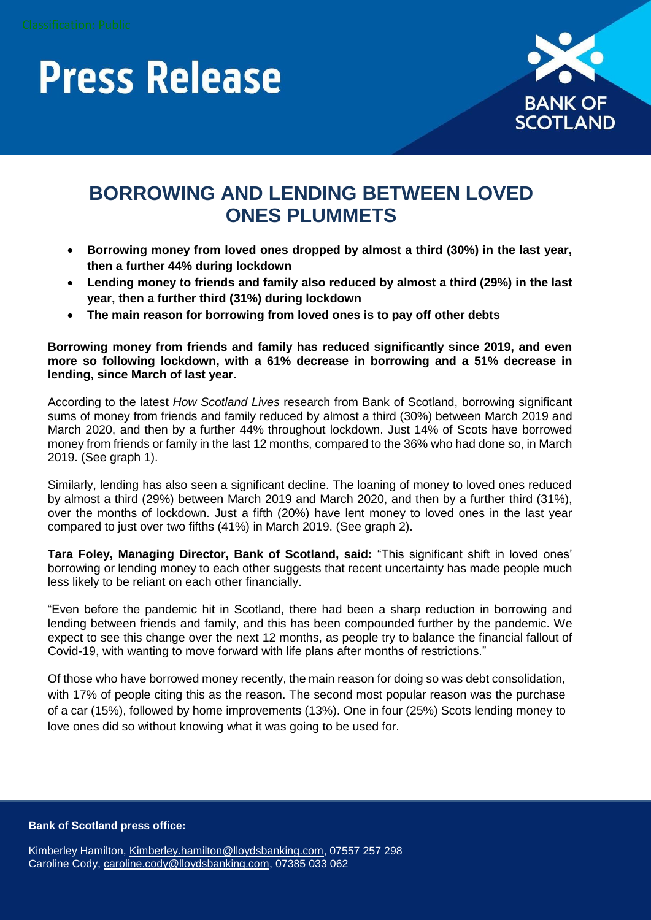## **Press Release**



### **BORROWING AND LENDING BETWEEN LOVED ONES PLUMMETS**

- **Borrowing money from loved ones dropped by almost a third (30%) in the last year, then a further 44% during lockdown**
- **Lending money to friends and family also reduced by almost a third (29%) in the last year, then a further third (31%) during lockdown**
- **The main reason for borrowing from loved ones is to pay off other debts**

**Borrowing money from friends and family has reduced significantly since 2019, and even more so following lockdown, with a 61% decrease in borrowing and a 51% decrease in lending, since March of last year.** 

According to the latest *How Scotland Lives* research from Bank of Scotland, borrowing significant sums of money from friends and family reduced by almost a third (30%) between March 2019 and March 2020, and then by a further 44% throughout lockdown. Just 14% of Scots have borrowed money from friends or family in the last 12 months, compared to the 36% who had done so, in March 2019. (See graph 1).

Similarly, lending has also seen a significant decline. The loaning of money to loved ones reduced by almost a third (29%) between March 2019 and March 2020, and then by a further third (31%), over the months of lockdown. Just a fifth (20%) have lent money to loved ones in the last year compared to just over two fifths (41%) in March 2019. (See graph 2).

**Tara Foley, Managing Director, Bank of Scotland, said:** "This significant shift in loved ones' borrowing or lending money to each other suggests that recent uncertainty has made people much less likely to be reliant on each other financially.

"Even before the pandemic hit in Scotland, there had been a sharp reduction in borrowing and lending between friends and family, and this has been compounded further by the pandemic. We expect to see this change over the next 12 months, as people try to balance the financial fallout of Covid-19, with wanting to move forward with life plans after months of restrictions."

Of those who have borrowed money recently, the main reason for doing so was debt consolidation, with 17% of people citing this as the reason. The second most popular reason was the purchase of a car (15%), followed by home improvements (13%). One in four (25%) Scots lending money to love ones did so without knowing what it was going to be used for.

**Bank of Scotland press office:**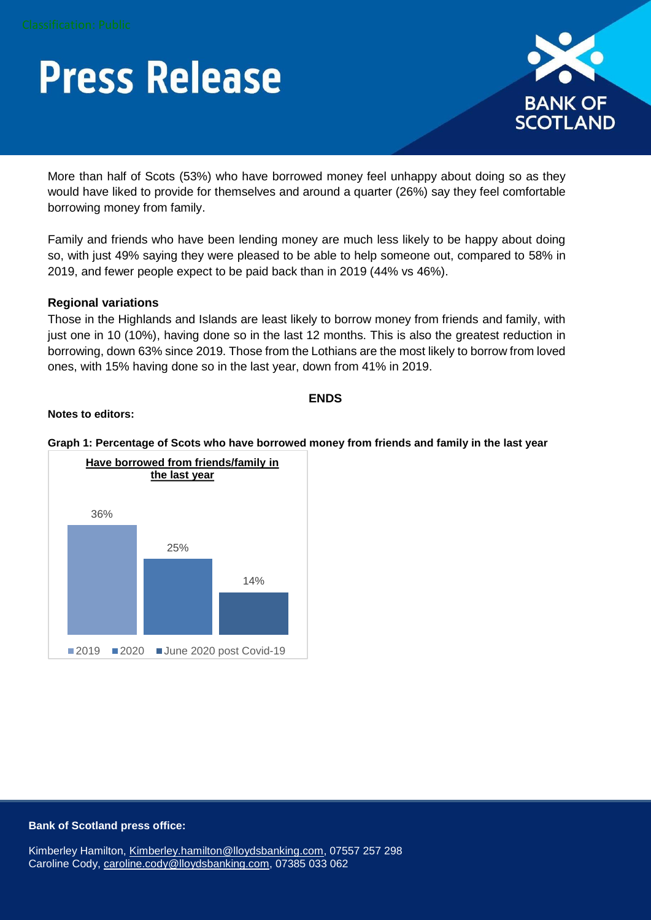# **Press Release**



More than half of Scots (53%) who have borrowed money feel unhappy about doing so as they would have liked to provide for themselves and around a quarter (26%) say they feel comfortable borrowing money from family.

Family and friends who have been lending money are much less likely to be happy about doing so, with just 49% saying they were pleased to be able to help someone out, compared to 58% in 2019, and fewer people expect to be paid back than in 2019 (44% vs 46%).

#### **Regional variations**

Those in the Highlands and Islands are least likely to borrow money from friends and family, with just one in 10 (10%), having done so in the last 12 months. This is also the greatest reduction in borrowing, down 63% since 2019. Those from the Lothians are the most likely to borrow from loved ones, with 15% having done so in the last year, down from 41% in 2019.

#### **ENDS**

#### **Notes to editors:**

#### **Graph 1: Percentage of Scots who have borrowed money from friends and family in the last year**



#### **Bank of Scotland press office:**

Kimberley Hamilton, [Kimberley.hamilton@lloydsbanking.com,](mailto:Kimberley.hamilton@lloydsbanking.com) 07557 257 298 Caroline Cody, [caroline.cody@lloydsbanking.com,](mailto:caroline.cody@lloydsbanking.com) 07385 033 062